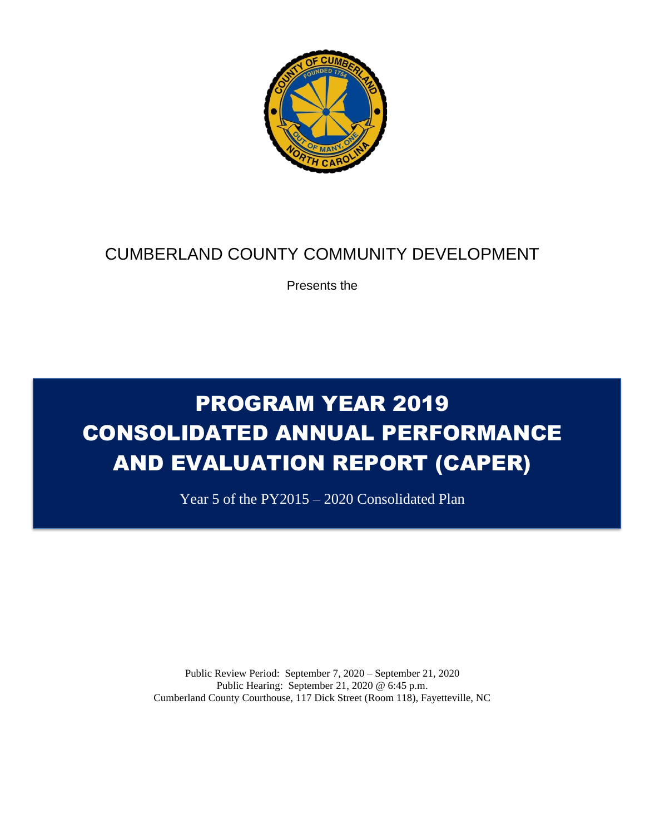

# CUMBERLAND COUNTY COMMUNITY DEVELOPMENT

Presents the

# PROGRAM YEAR 2019 CONSOLIDATED ANNUAL PERFORMANCE AND EVALUATION REPORT (CAPER)

Year 5 of the PY2015 – 2020 Consolidated Plan

Public Review Period: September 7, 2020 – September 21, 2020 Public Hearing: September 21, 2020 @ 6:45 p.m. Cumberland County Courthouse, 117 Dick Street (Room 118), Fayetteville, NC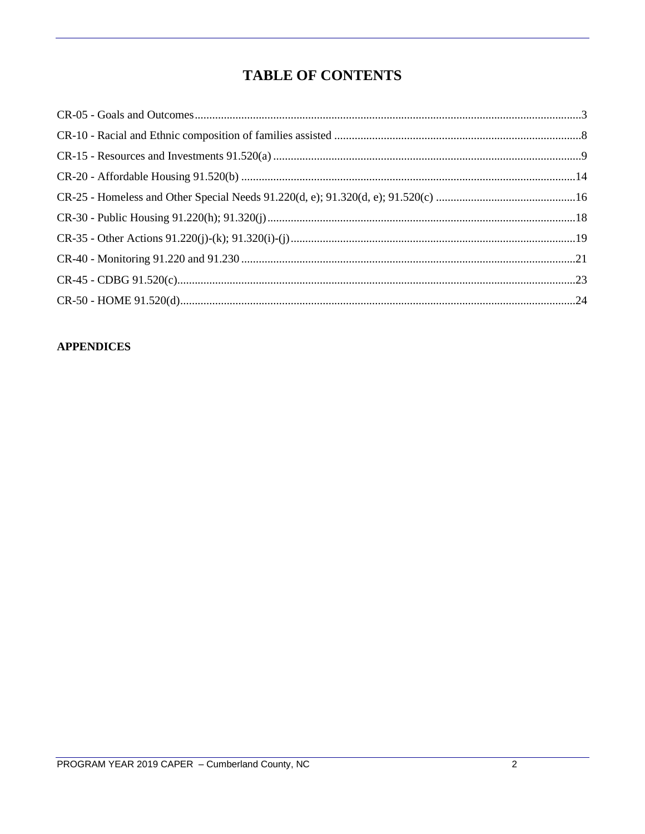## **TABLE OF CONTENTS**

#### **APPENDICES**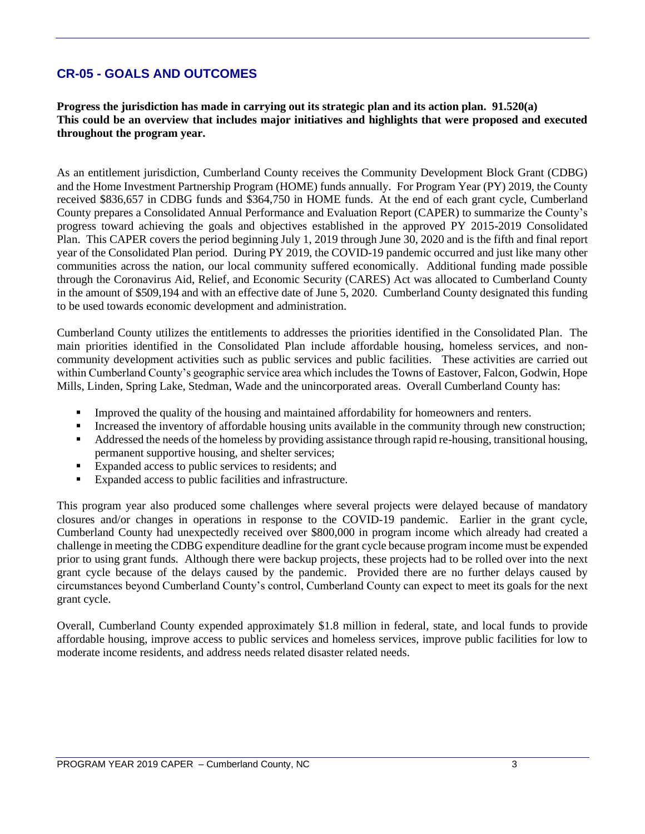## **CR-05 - GOALS AND OUTCOMES**

**Progress the jurisdiction has made in carrying out its strategic plan and its action plan. 91.520(a) This could be an overview that includes major initiatives and highlights that were proposed and executed throughout the program year.**

As an entitlement jurisdiction, Cumberland County receives the Community Development Block Grant (CDBG) and the Home Investment Partnership Program (HOME) funds annually. For Program Year (PY) 2019, the County received \$836,657 in CDBG funds and \$364,750 in HOME funds. At the end of each grant cycle, Cumberland County prepares a Consolidated Annual Performance and Evaluation Report (CAPER) to summarize the County's progress toward achieving the goals and objectives established in the approved PY 2015-2019 Consolidated Plan. This CAPER covers the period beginning July 1, 2019 through June 30, 2020 and is the fifth and final report year of the Consolidated Plan period. During PY 2019, the COVID-19 pandemic occurred and just like many other communities across the nation, our local community suffered economically. Additional funding made possible through the Coronavirus Aid, Relief, and Economic Security (CARES) Act was allocated to Cumberland County in the amount of \$509,194 and with an effective date of June 5, 2020. Cumberland County designated this funding to be used towards economic development and administration.

Cumberland County utilizes the entitlements to addresses the priorities identified in the Consolidated Plan. The main priorities identified in the Consolidated Plan include affordable housing, homeless services, and noncommunity development activities such as public services and public facilities. These activities are carried out within Cumberland County's geographic service area which includes the Towns of Eastover, Falcon, Godwin, Hope Mills, Linden, Spring Lake, Stedman, Wade and the unincorporated areas. Overall Cumberland County has:

- Improved the quality of the housing and maintained affordability for homeowners and renters.
- Increased the inventory of affordable housing units available in the community through new construction;
- Addressed the needs of the homeless by providing assistance through rapid re-housing, transitional housing, permanent supportive housing, and shelter services;
- Expanded access to public services to residents; and
- Expanded access to public facilities and infrastructure.

This program year also produced some challenges where several projects were delayed because of mandatory closures and/or changes in operations in response to the COVID-19 pandemic. Earlier in the grant cycle, Cumberland County had unexpectedly received over \$800,000 in program income which already had created a challenge in meeting the CDBG expenditure deadline for the grant cycle because program income must be expended prior to using grant funds. Although there were backup projects, these projects had to be rolled over into the next grant cycle because of the delays caused by the pandemic. Provided there are no further delays caused by circumstances beyond Cumberland County's control, Cumberland County can expect to meet its goals for the next grant cycle.

Overall, Cumberland County expended approximately \$1.8 million in federal, state, and local funds to provide affordable housing, improve access to public services and homeless services, improve public facilities for low to moderate income residents, and address needs related disaster related needs.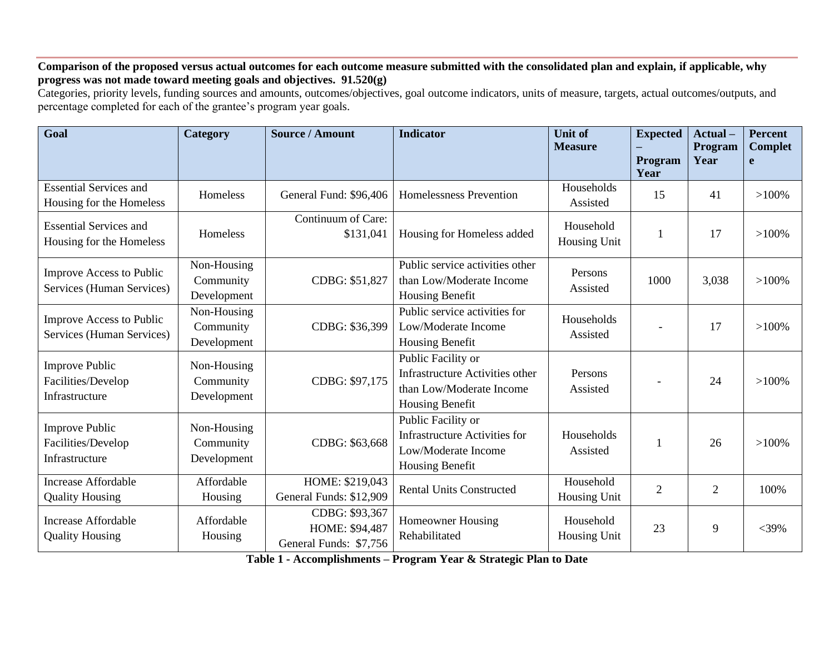**Comparison of the proposed versus actual outcomes for each outcome measure submitted with the consolidated plan and explain, if applicable, why progress was not made toward meeting goals and objectives. 91.520(g)**

Categories, priority levels, funding sources and amounts, outcomes/objectives, goal outcome indicators, units of measure, targets, actual outcomes/outputs, and percentage completed for each of the grantee's program year goals.

| Goal                                                          | Category                                | <b>Source / Amount</b>                                     | <b>Indicator</b>                                                                                     | <b>Unit of</b><br><b>Measure</b> | <b>Expected</b> | Actual-<br><b>Program</b> | <b>Percent</b><br><b>Complet</b> |
|---------------------------------------------------------------|-----------------------------------------|------------------------------------------------------------|------------------------------------------------------------------------------------------------------|----------------------------------|-----------------|---------------------------|----------------------------------|
|                                                               |                                         |                                                            |                                                                                                      |                                  | Program<br>Year | Year                      | e                                |
| <b>Essential Services and</b><br>Housing for the Homeless     | Homeless                                | General Fund: \$96,406                                     | Homelessness Prevention                                                                              | Households<br>Assisted           | 15              | 41                        | $>100\%$                         |
| <b>Essential Services and</b><br>Housing for the Homeless     | Homeless                                | Continuum of Care:<br>\$131,041                            | Housing for Homeless added                                                                           | Household<br><b>Housing Unit</b> |                 | 17                        | $>100\%$                         |
| Improve Access to Public<br>Services (Human Services)         | Non-Housing<br>Community<br>Development | CDBG: \$51,827                                             | Public service activities other<br>than Low/Moderate Income<br>Housing Benefit                       | Persons<br>Assisted              | 1000            | 3,038                     | $>100\%$                         |
| <b>Improve Access to Public</b><br>Services (Human Services)  | Non-Housing<br>Community<br>Development | CDBG: \$36,399                                             | Public service activities for<br>Low/Moderate Income<br>Housing Benefit                              | Households<br>Assisted           |                 | 17                        | $>100\%$                         |
| <b>Improve Public</b><br>Facilities/Develop<br>Infrastructure | Non-Housing<br>Community<br>Development | CDBG: \$97,175                                             | Public Facility or<br>Infrastructure Activities other<br>than Low/Moderate Income<br>Housing Benefit | Persons<br>Assisted              |                 | 24                        | $>100\%$                         |
| <b>Improve Public</b><br>Facilities/Develop<br>Infrastructure | Non-Housing<br>Community<br>Development | CDBG: \$63,668                                             | Public Facility or<br><b>Infrastructure Activities for</b><br>Low/Moderate Income<br>Housing Benefit | Households<br>Assisted           |                 | 26                        | $>100\%$                         |
| <b>Increase Affordable</b><br><b>Quality Housing</b>          | Affordable<br>Housing                   | HOME: \$219,043<br>General Funds: \$12,909                 | <b>Rental Units Constructed</b>                                                                      |                                  | $\overline{2}$  | $\overline{2}$            | 100%                             |
| <b>Increase Affordable</b><br><b>Quality Housing</b>          | Affordable<br>Housing                   | CDBG: \$93,367<br>HOME: \$94,487<br>General Funds: \$7,756 | <b>Homeowner Housing</b><br>Rehabilitated                                                            | Household<br><b>Housing Unit</b> | 23              | 9                         | $<$ 39%                          |

**Table 1 - Accomplishments – Program Year & Strategic Plan to Date**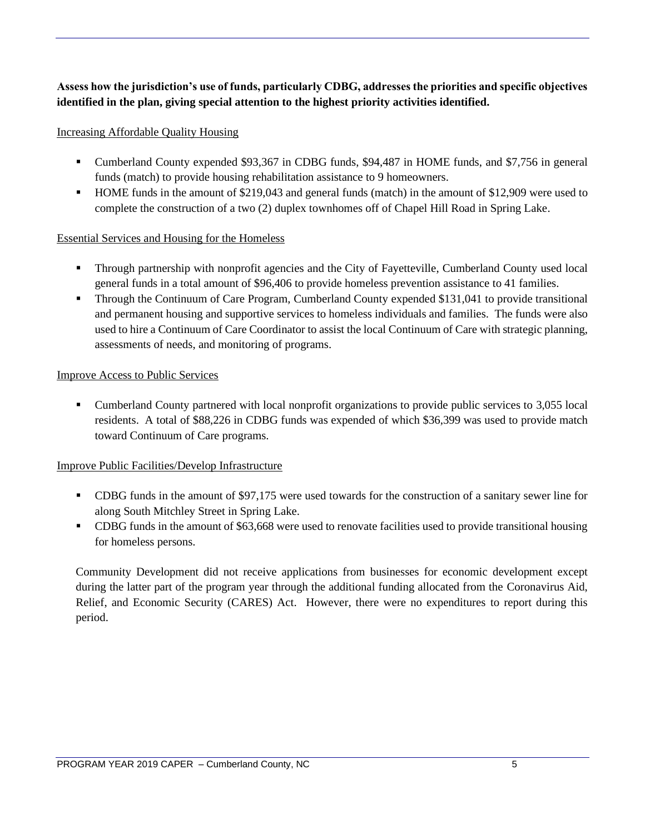#### **Assess how the jurisdiction's use of funds, particularly CDBG, addresses the priorities and specific objectives identified in the plan, giving special attention to the highest priority activities identified.**

#### Increasing Affordable Quality Housing

- Cumberland County expended \$93,367 in CDBG funds, \$94,487 in HOME funds, and \$7,756 in general funds (match) to provide housing rehabilitation assistance to 9 homeowners.
- HOME funds in the amount of \$219,043 and general funds (match) in the amount of \$12,909 were used to complete the construction of a two (2) duplex townhomes off of Chapel Hill Road in Spring Lake.

#### Essential Services and Housing for the Homeless

- Through partnership with nonprofit agencies and the City of Fayetteville, Cumberland County used local general funds in a total amount of \$96,406 to provide homeless prevention assistance to 41 families.
- **•** Through the Continuum of Care Program, Cumberland County expended \$131,041 to provide transitional and permanent housing and supportive services to homeless individuals and families. The funds were also used to hire a Continuum of Care Coordinator to assist the local Continuum of Care with strategic planning, assessments of needs, and monitoring of programs.

#### Improve Access to Public Services

• Cumberland County partnered with local nonprofit organizations to provide public services to 3,055 local residents. A total of \$88,226 in CDBG funds was expended of which \$36,399 was used to provide match toward Continuum of Care programs.

#### Improve Public Facilities/Develop Infrastructure

- CDBG funds in the amount of \$97,175 were used towards for the construction of a sanitary sewer line for along South Mitchley Street in Spring Lake.
- CDBG funds in the amount of \$63,668 were used to renovate facilities used to provide transitional housing for homeless persons.

Community Development did not receive applications from businesses for economic development except during the latter part of the program year through the additional funding allocated from the Coronavirus Aid, Relief, and Economic Security (CARES) Act. However, there were no expenditures to report during this period.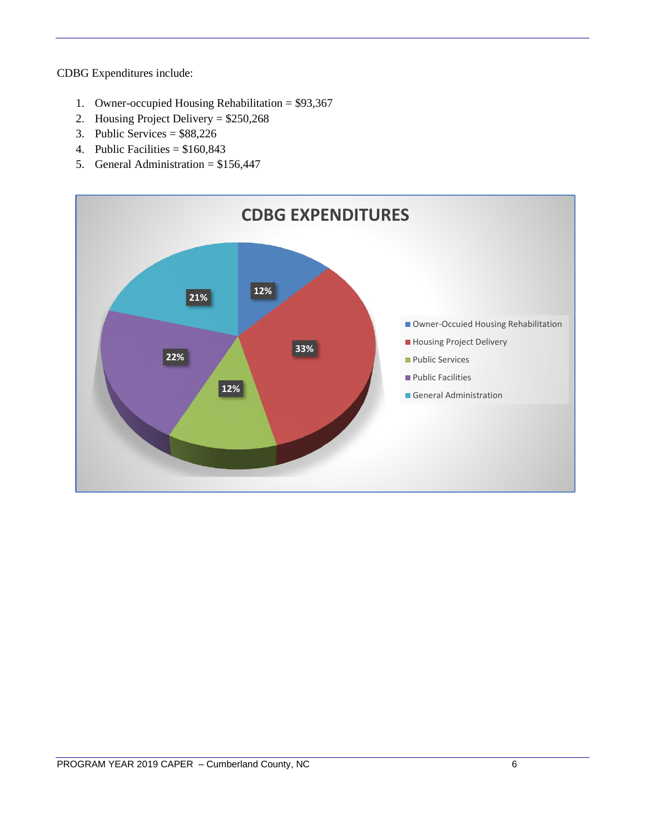CDBG Expenditures include:

- 1. Owner-occupied Housing Rehabilitation = \$93,367
- 2. Housing Project Delivery = \$250,268
- 3. Public Services = \$88,226
- 4. Public Facilities  $= $160,843$
- 5. General Administration = \$156,447

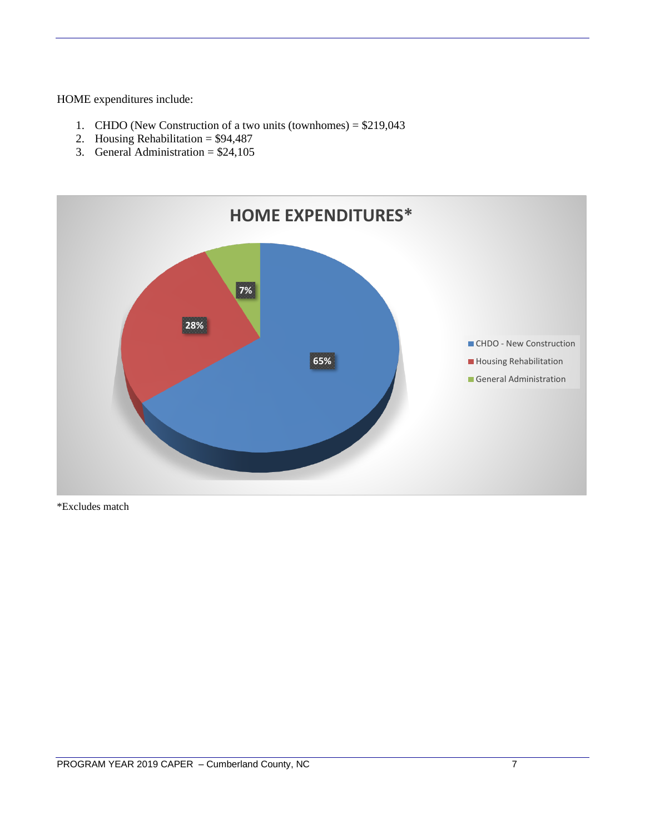HOME expenditures include:

- 1. CHDO (New Construction of a two units (townhomes) = \$219,043
- 2. Housing Rehabilitation =  $$94,487$
- 3. General Administration =  $$24,105$



\*Excludes match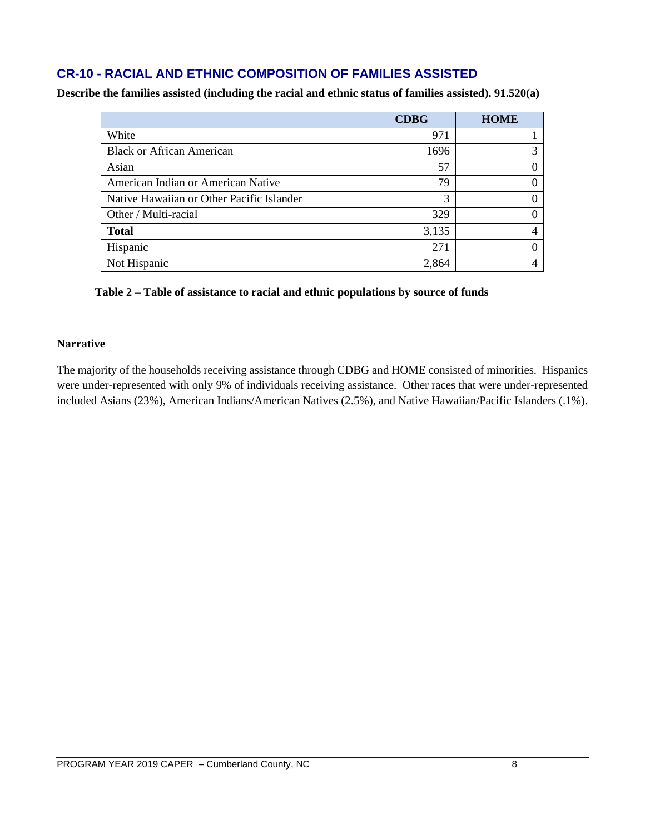## **CR-10 - RACIAL AND ETHNIC COMPOSITION OF FAMILIES ASSISTED**

**Describe the families assisted (including the racial and ethnic status of families assisted). 91.520(a)** 

|                                           | <b>CDBG</b> | <b>HOME</b> |
|-------------------------------------------|-------------|-------------|
| White                                     | 971         |             |
| <b>Black or African American</b>          | 1696        |             |
| Asian                                     | 57          | 0           |
| American Indian or American Native        | 79          | 0           |
| Native Hawaiian or Other Pacific Islander | 3           | 0           |
| Other / Multi-racial                      | 329         | 0           |
| <b>Total</b>                              | 3,135       | 4           |
| Hispanic                                  | 271         | 0           |
| Not Hispanic                              | 2,864       |             |

#### **Table 2 – Table of assistance to racial and ethnic populations by source of funds**

#### **Narrative**

The majority of the households receiving assistance through CDBG and HOME consisted of minorities. Hispanics were under-represented with only 9% of individuals receiving assistance. Other races that were under-represented included Asians (23%), American Indians/American Natives (2.5%), and Native Hawaiian/Pacific Islanders (.1%).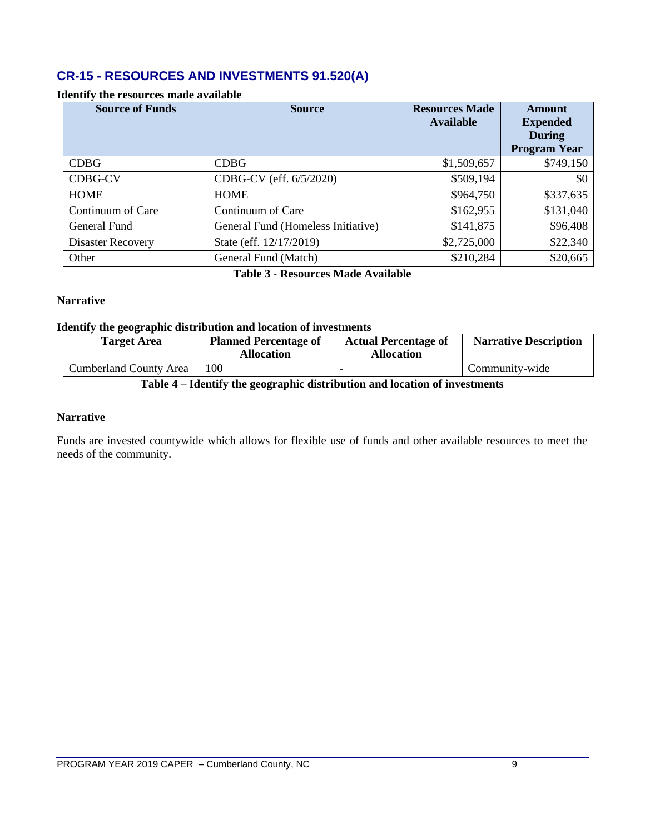## **CR-15 - RESOURCES AND INVESTMENTS 91.520(A)**

#### **Identify the resources made available**

| <b>Source of Funds</b>   | <b>Source</b>                      | <b>Resources Made</b><br><b>Available</b> | <b>Amount</b><br><b>Expended</b><br><b>During</b><br><b>Program Year</b> |
|--------------------------|------------------------------------|-------------------------------------------|--------------------------------------------------------------------------|
| <b>CDBG</b>              | <b>CDBG</b>                        | \$1,509,657                               | \$749,150                                                                |
| <b>CDBG-CV</b>           | CDBG-CV (eff. 6/5/2020)            | \$509,194                                 | \$0                                                                      |
| <b>HOME</b>              | <b>HOME</b>                        | \$964,750                                 | \$337,635                                                                |
| Continuum of Care        | Continuum of Care                  | \$162,955                                 | \$131,040                                                                |
| General Fund             | General Fund (Homeless Initiative) | \$141,875                                 | \$96,408                                                                 |
| <b>Disaster Recovery</b> | State (eff. 12/17/2019)            | \$2,725,000                               | \$22,340                                                                 |
| Other                    | General Fund (Match)               | \$210,284                                 | \$20,665                                                                 |

**Table 3 - Resources Made Available**

#### **Narrative**

#### **Identify the geographic distribution and location of investments**

| <b>Target Area</b>            | <b>Planned Percentage of</b><br><b>Allocation</b> | <b>Actual Percentage of</b><br><b>Allocation</b> | <b>Narrative Description</b> |
|-------------------------------|---------------------------------------------------|--------------------------------------------------|------------------------------|
| <b>Cumberland County Area</b> | 100                                               |                                                  | Community-wide               |

#### **Table 4 – Identify the geographic distribution and location of investments**

#### **Narrative**

Funds are invested countywide which allows for flexible use of funds and other available resources to meet the needs of the community.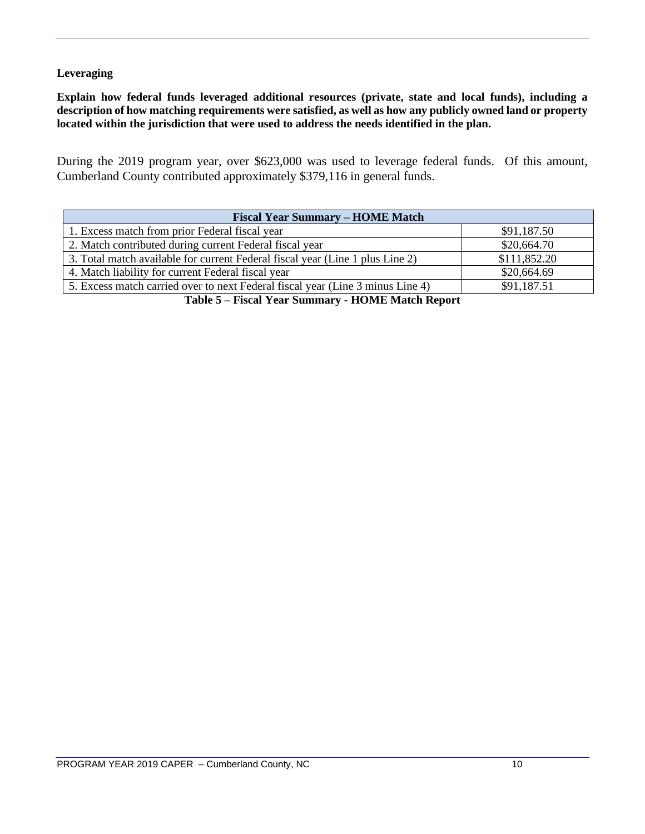#### **Leveraging**

**Explain how federal funds leveraged additional resources (private, state and local funds), including a description of how matching requirements were satisfied, as well as how any publicly owned land or property located within the jurisdiction that were used to address the needs identified in the plan.**

During the 2019 program year, over \$623,000 was used to leverage federal funds. Of this amount, Cumberland County contributed approximately \$379,116 in general funds.

| <b>Fiscal Year Summary – HOME Match</b>                                            |              |  |  |  |  |
|------------------------------------------------------------------------------------|--------------|--|--|--|--|
| 1. Excess match from prior Federal fiscal year                                     | \$91,187.50  |  |  |  |  |
| 2. Match contributed during current Federal fiscal year                            | \$20,664.70  |  |  |  |  |
| 3. Total match available for current Federal fiscal year (Line 1 plus Line 2)      | \$111,852.20 |  |  |  |  |
| 4. Match liability for current Federal fiscal year                                 | \$20,664.69  |  |  |  |  |
| 5. Excess match carried over to next Federal fiscal year (Line 3 minus Line 4)     | \$91,187.51  |  |  |  |  |
| $\mathbf{m}$ is $\mathbf{m}$ . The state $\mathbf{m}$ is the state of $\mathbf{m}$ |              |  |  |  |  |

**Table 5 – Fiscal Year Summary - HOME Match Report**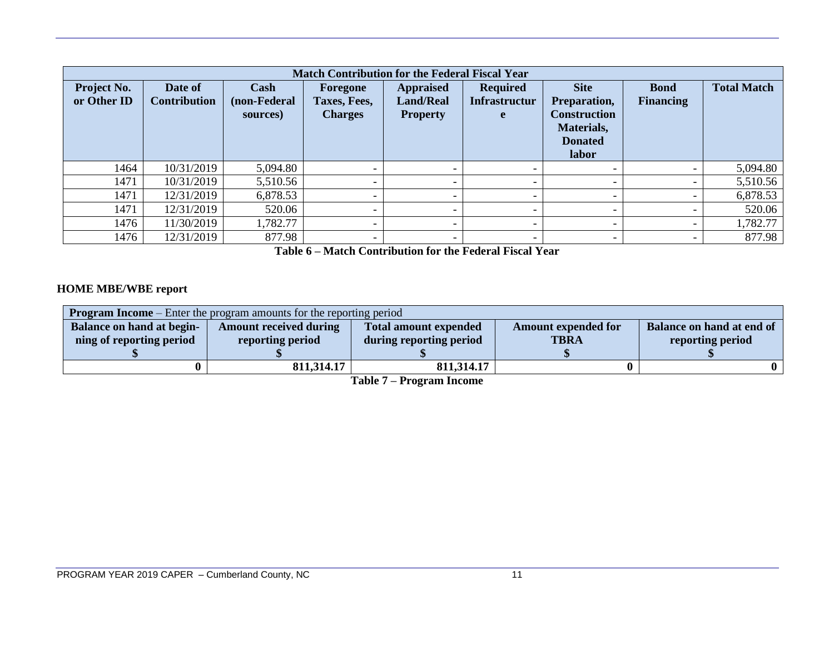|                            | <b>Match Contribution for the Federal Fiscal Year</b> |                                  |                                            |                                                         |                                              |                                                                                                    |                                 |                    |  |  |  |
|----------------------------|-------------------------------------------------------|----------------------------------|--------------------------------------------|---------------------------------------------------------|----------------------------------------------|----------------------------------------------------------------------------------------------------|---------------------------------|--------------------|--|--|--|
| Project No.<br>or Other ID | Date of<br><b>Contribution</b>                        | Cash<br>(non-Federal<br>sources) | Foregone<br>Taxes, Fees,<br><b>Charges</b> | <b>Appraised</b><br><b>Land/Real</b><br><b>Property</b> | <b>Required</b><br><b>Infrastructur</b><br>e | <b>Site</b><br><b>Preparation,</b><br><b>Construction</b><br>Materials,<br><b>Donated</b><br>labor | <b>Bond</b><br><b>Financing</b> | <b>Total Match</b> |  |  |  |
| 1464                       | 10/31/2019                                            | 5,094.80                         | $\overline{\phantom{0}}$                   | <b>_</b>                                                |                                              | -                                                                                                  | $\overline{\phantom{0}}$        | 5,094.80           |  |  |  |
| 1471                       | 10/31/2019                                            | 5,510.56                         | $\overline{\phantom{0}}$                   |                                                         |                                              |                                                                                                    | $\overline{\phantom{0}}$        | 5,510.56           |  |  |  |
| 1471                       | 12/31/2019                                            | 6,878.53                         | $\overline{\phantom{0}}$                   |                                                         |                                              | -                                                                                                  | $\overline{\phantom{0}}$        | 6,878.53           |  |  |  |
| 1471                       | 12/31/2019                                            | 520.06                           | $\overline{\phantom{0}}$                   |                                                         |                                              | -                                                                                                  | -                               | 520.06             |  |  |  |
| 1476                       | 11/30/2019                                            | 1,782.77                         | $\overline{\phantom{0}}$                   | $\overline{\phantom{0}}$                                |                                              |                                                                                                    | $\overline{\phantom{a}}$        | 1,782.77           |  |  |  |
| 1476                       | 12/31/2019                                            | 877.98                           | $\overline{\phantom{0}}$                   | $\overline{\phantom{0}}$                                |                                              | -                                                                                                  | -                               | 877.98             |  |  |  |

**Table 6 – Match Contribution for the Federal Fiscal Year**

#### **HOME MBE/WBE report**

| <b>Program Income</b> – Enter the program amounts for the reporting period |                               |                              |                            |                           |  |  |  |
|----------------------------------------------------------------------------|-------------------------------|------------------------------|----------------------------|---------------------------|--|--|--|
| <b>Balance on hand at begin-</b>                                           | <b>Amount received during</b> | <b>Total amount expended</b> | <b>Amount expended for</b> | Balance on hand at end of |  |  |  |
| ning of reporting period                                                   | reporting period              | during reporting period      | <b>TBRA</b>                | reporting period          |  |  |  |
|                                                                            |                               |                              |                            |                           |  |  |  |
|                                                                            | 811,314.17                    | 811,314.17                   |                            |                           |  |  |  |

**Table 7 – Program Income**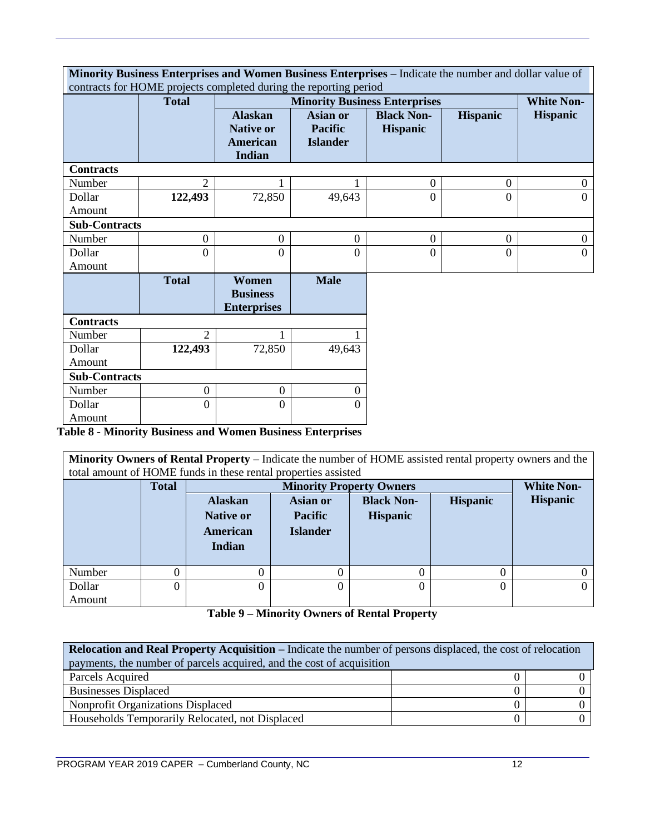|                      |                  | contracts for HOME projects completed during the reporting period |                                                      | Minority Business Enterprises and Women Business Enterprises - Indicate the number and dollar value of |                  |                   |
|----------------------|------------------|-------------------------------------------------------------------|------------------------------------------------------|--------------------------------------------------------------------------------------------------------|------------------|-------------------|
|                      | <b>Total</b>     |                                                                   |                                                      | <b>Minority Business Enterprises</b>                                                                   |                  | <b>White Non-</b> |
|                      |                  | <b>Alaskan</b><br><b>Native or</b><br><b>American</b><br>Indian   | <b>Asian or</b><br><b>Pacific</b><br><b>Islander</b> | <b>Black Non-</b><br><b>Hispanic</b>                                                                   | <b>Hispanic</b>  | <b>Hispanic</b>   |
| <b>Contracts</b>     |                  |                                                                   |                                                      |                                                                                                        |                  |                   |
| Number               | $\overline{2}$   |                                                                   |                                                      | $\boldsymbol{0}$                                                                                       | $\overline{0}$   | $\boldsymbol{0}$  |
| Dollar               | 122,493          | 72,850                                                            | 49,643                                               | $\overline{0}$                                                                                         | $\Omega$         | $\theta$          |
| Amount               |                  |                                                                   |                                                      |                                                                                                        |                  |                   |
| <b>Sub-Contracts</b> |                  |                                                                   |                                                      |                                                                                                        |                  |                   |
| Number               | $\boldsymbol{0}$ | $\boldsymbol{0}$                                                  | $\overline{0}$                                       | $\boldsymbol{0}$                                                                                       | $\boldsymbol{0}$ | $\boldsymbol{0}$  |
| Dollar               | $\overline{0}$   | $\overline{0}$                                                    | $\overline{0}$                                       | $\overline{0}$                                                                                         | $\theta$         | $\overline{0}$    |
| Amount               |                  |                                                                   |                                                      |                                                                                                        |                  |                   |
|                      | <b>Total</b>     | Women<br><b>Business</b><br><b>Enterprises</b>                    | <b>Male</b>                                          |                                                                                                        |                  |                   |
| <b>Contracts</b>     |                  |                                                                   |                                                      |                                                                                                        |                  |                   |
| Number               | 2                |                                                                   |                                                      |                                                                                                        |                  |                   |
| Dollar               | 122,493          | 72,850                                                            | 49,643                                               |                                                                                                        |                  |                   |
| Amount               |                  |                                                                   |                                                      |                                                                                                        |                  |                   |
| <b>Sub-Contracts</b> |                  |                                                                   |                                                      |                                                                                                        |                  |                   |
| Number               | $\mathbf{0}$     | $\overline{0}$                                                    | $\mathbf{0}$                                         |                                                                                                        |                  |                   |
| Dollar               | $\overline{0}$   | $\Omega$                                                          | $\Omega$                                             |                                                                                                        |                  |                   |
| Amount               |                  |                                                                   |                                                      |                                                                                                        |                  |                   |

**Table 8 - Minority Business and Women Business Enterprises**

**Minority Owners of Rental Property** – Indicate the number of HOME assisted rental property owners and the total amount of HOME funds in these rental properties assisted

|        | <b>Total</b> |                                    | <b>Minority Property Owners</b>                  |                 |                 |  |  |
|--------|--------------|------------------------------------|--------------------------------------------------|-----------------|-----------------|--|--|
|        |              | <b>Alaskan</b>                     | <b>Black Non-</b><br>Asian or<br><b>Hispanic</b> |                 | <b>Hispanic</b> |  |  |
|        |              | <b>Pacific</b><br><b>Native or</b> |                                                  | <b>Hispanic</b> |                 |  |  |
|        |              | American                           | <b>Islander</b>                                  |                 |                 |  |  |
|        |              | Indian                             |                                                  |                 |                 |  |  |
| Number |              |                                    |                                                  |                 |                 |  |  |
| Dollar | 0            | 0                                  |                                                  |                 | 0               |  |  |
| Amount |              |                                    |                                                  |                 |                 |  |  |

**Table 9 – Minority Owners of Rental Property**

| <b>Relocation and Real Property Acquisition – Indicate the number of persons displaced, the cost of relocation</b> |  |  |  |  |
|--------------------------------------------------------------------------------------------------------------------|--|--|--|--|
| payments, the number of parcels acquired, and the cost of acquisition                                              |  |  |  |  |
| Parcels Acquired                                                                                                   |  |  |  |  |
| <b>Businesses Displaced</b>                                                                                        |  |  |  |  |
| Nonprofit Organizations Displaced                                                                                  |  |  |  |  |
| Households Temporarily Relocated, not Displaced                                                                    |  |  |  |  |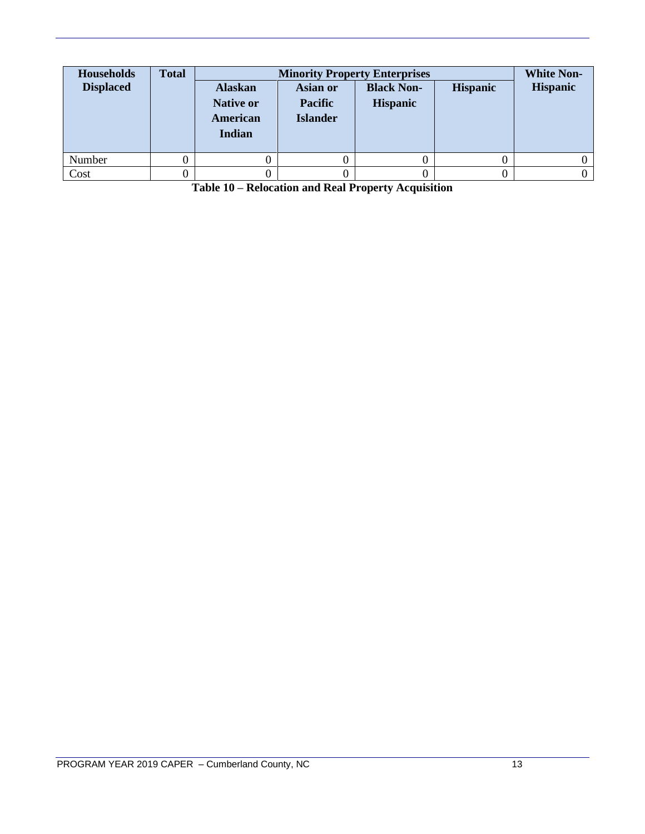| <b>Households</b><br><b>Displaced</b> | <b>Total</b> | <b>Alaskan</b><br><b>Native or</b><br>American<br>Indian | Asian or<br><b>Pacific</b><br><b>Islander</b> | <b>Minority Property Enterprises</b><br><b>Black Non-</b><br><b>Hispanic</b> | <b>Hispanic</b> | <b>White Non-</b><br><b>Hispanic</b> |
|---------------------------------------|--------------|----------------------------------------------------------|-----------------------------------------------|------------------------------------------------------------------------------|-----------------|--------------------------------------|
| Number                                |              |                                                          |                                               |                                                                              |                 |                                      |
| Cost                                  |              |                                                          |                                               |                                                                              |                 |                                      |

**Table 10 – Relocation and Real Property Acquisition**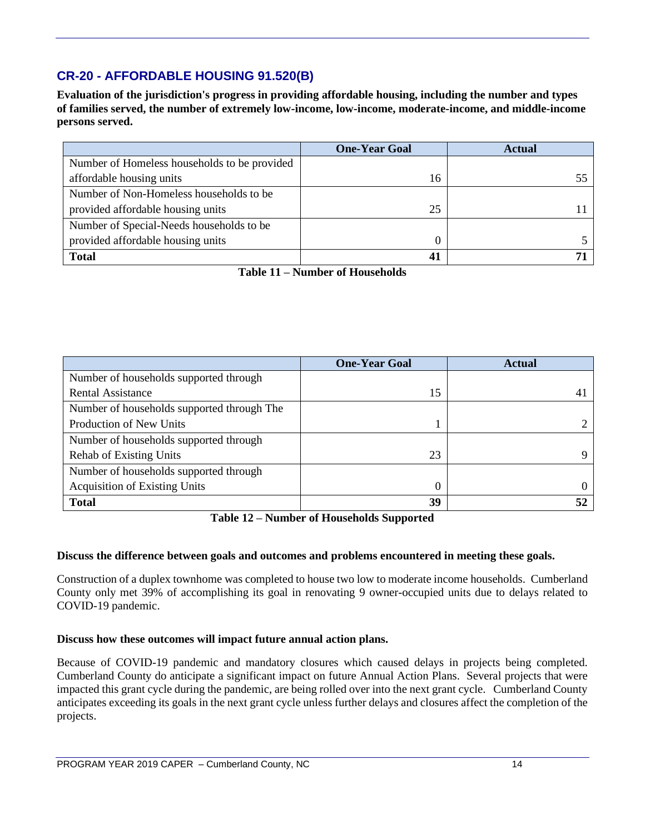## **CR-20 - AFFORDABLE HOUSING 91.520(B)**

**Evaluation of the jurisdiction's progress in providing affordable housing, including the number and types of families served, the number of extremely low-income, low-income, moderate-income, and middle-income persons served.**

|                                              | <b>One-Year Goal</b> | <b>Actual</b> |
|----------------------------------------------|----------------------|---------------|
| Number of Homeless households to be provided |                      |               |
| affordable housing units                     | 16                   |               |
| Number of Non-Homeless households to be      |                      |               |
| provided affordable housing units            | 25                   |               |
| Number of Special-Needs households to be     |                      |               |
| provided affordable housing units            |                      |               |
| <b>Total</b>                                 | 41                   |               |

**Table 11 – Number of Households**

|                                            | <b>One-Year Goal</b> | <b>Actual</b> |
|--------------------------------------------|----------------------|---------------|
| Number of households supported through     |                      |               |
| <b>Rental Assistance</b>                   | 15                   | 4             |
| Number of households supported through The |                      |               |
| Production of New Units                    |                      |               |
| Number of households supported through     |                      |               |
| <b>Rehab of Existing Units</b>             | 23                   |               |
| Number of households supported through     |                      |               |
| <b>Acquisition of Existing Units</b>       | $\Omega$             |               |
| <b>Total</b>                               | 39                   |               |

**Table 12 – Number of Households Supported**

#### **Discuss the difference between goals and outcomes and problems encountered in meeting these goals.**

Construction of a duplex townhome was completed to house two low to moderate income households. Cumberland County only met 39% of accomplishing its goal in renovating 9 owner-occupied units due to delays related to COVID-19 pandemic.

#### **Discuss how these outcomes will impact future annual action plans.**

Because of COVID-19 pandemic and mandatory closures which caused delays in projects being completed. Cumberland County do anticipate a significant impact on future Annual Action Plans. Several projects that were impacted this grant cycle during the pandemic, are being rolled over into the next grant cycle. Cumberland County anticipates exceeding its goals in the next grant cycle unless further delays and closures affect the completion of the projects.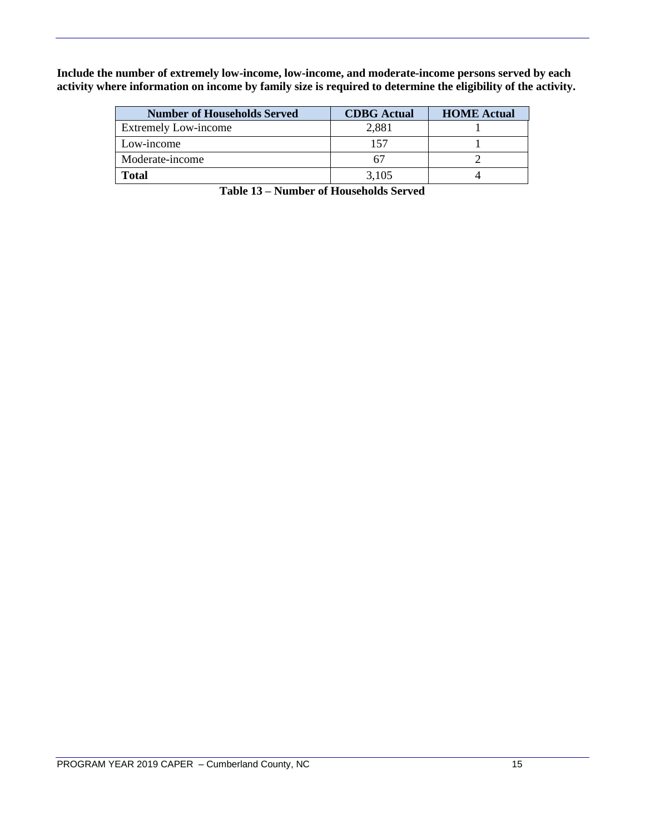**Include the number of extremely low-income, low-income, and moderate-income persons served by each activity where information on income by family size is required to determine the eligibility of the activity.**

| <b>Number of Households Served</b> | <b>CDBG</b> Actual | <b>HOME</b> Actual |
|------------------------------------|--------------------|--------------------|
| <b>Extremely Low-income</b>        | 2,881              |                    |
| Low-income                         |                    |                    |
| Moderate-income                    |                    |                    |
| <b>Total</b>                       | 3.105              |                    |

**Table 13 – Number of Households Served**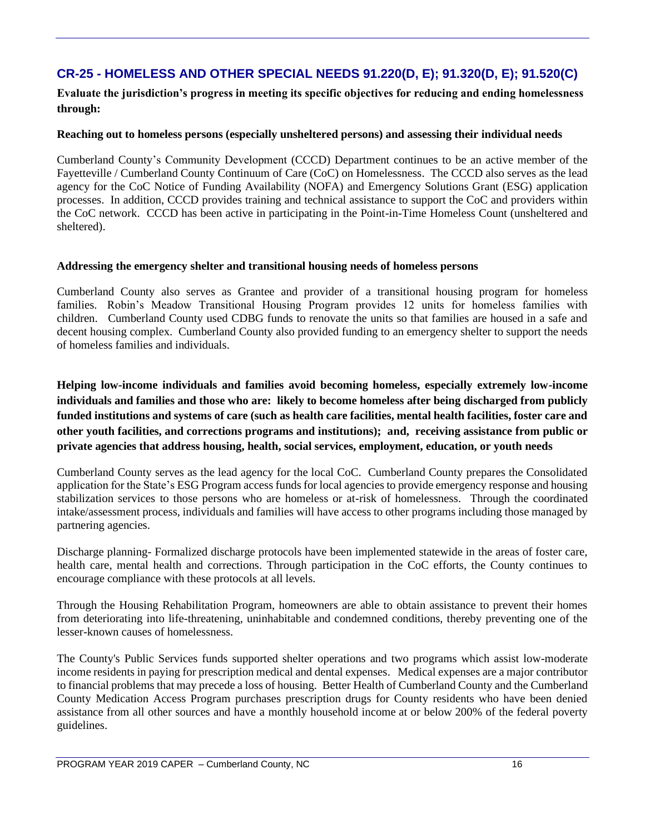## **CR-25 - HOMELESS AND OTHER SPECIAL NEEDS 91.220(D, E); 91.320(D, E); 91.520(C)**

**Evaluate the jurisdiction's progress in meeting its specific objectives for reducing and ending homelessness through:**

#### **Reaching out to homeless persons (especially unsheltered persons) and assessing their individual needs**

Cumberland County's Community Development (CCCD) Department continues to be an active member of the Fayetteville / Cumberland County Continuum of Care (CoC) on Homelessness. The CCCD also serves as the lead agency for the CoC Notice of Funding Availability (NOFA) and Emergency Solutions Grant (ESG) application processes. In addition, CCCD provides training and technical assistance to support the CoC and providers within the CoC network. CCCD has been active in participating in the Point-in-Time Homeless Count (unsheltered and sheltered).

#### **Addressing the emergency shelter and transitional housing needs of homeless persons**

Cumberland County also serves as Grantee and provider of a transitional housing program for homeless families. Robin's Meadow Transitional Housing Program provides 12 units for homeless families with children. Cumberland County used CDBG funds to renovate the units so that families are housed in a safe and decent housing complex. Cumberland County also provided funding to an emergency shelter to support the needs of homeless families and individuals.

**Helping low-income individuals and families avoid becoming homeless, especially extremely low-income individuals and families and those who are: likely to become homeless after being discharged from publicly funded institutions and systems of care (such as health care facilities, mental health facilities, foster care and other youth facilities, and corrections programs and institutions); and, receiving assistance from public or private agencies that address housing, health, social services, employment, education, or youth needs**

Cumberland County serves as the lead agency for the local CoC. Cumberland County prepares the Consolidated application for the State's ESG Program access funds for local agencies to provide emergency response and housing stabilization services to those persons who are homeless or at-risk of homelessness. Through the coordinated intake/assessment process, individuals and families will have access to other programs including those managed by partnering agencies.

Discharge planning- Formalized discharge protocols have been implemented statewide in the areas of foster care, health care, mental health and corrections. Through participation in the CoC efforts, the County continues to encourage compliance with these protocols at all levels.

Through the Housing Rehabilitation Program, homeowners are able to obtain assistance to prevent their homes from deteriorating into life-threatening, uninhabitable and condemned conditions, thereby preventing one of the lesser-known causes of homelessness.

The County's Public Services funds supported shelter operations and two programs which assist low-moderate income residents in paying for prescription medical and dental expenses. Medical expenses are a major contributor to financial problems that may precede a loss of housing. Better Health of Cumberland County and the Cumberland County Medication Access Program purchases prescription drugs for County residents who have been denied assistance from all other sources and have a monthly household income at or below 200% of the federal poverty guidelines.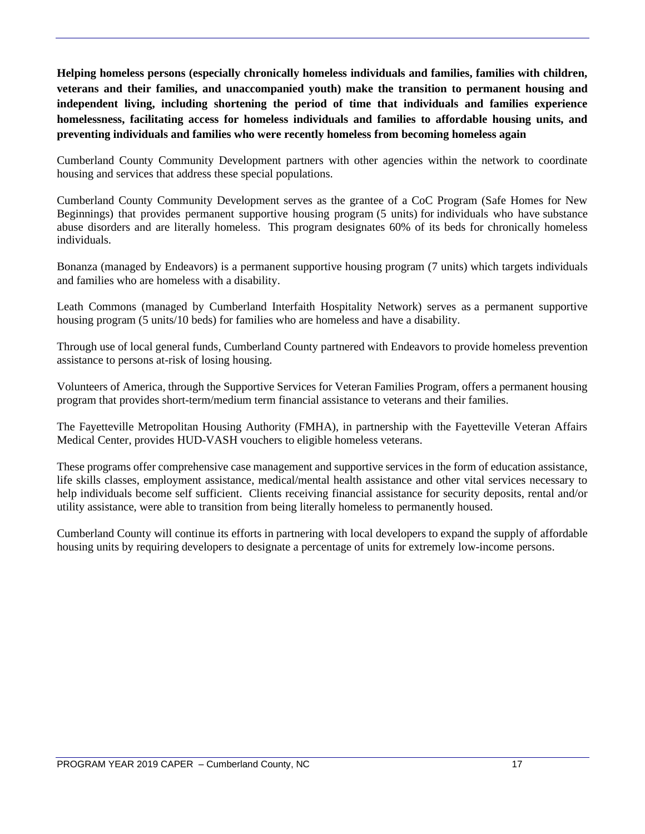**Helping homeless persons (especially chronically homeless individuals and families, families with children, veterans and their families, and unaccompanied youth) make the transition to permanent housing and independent living, including shortening the period of time that individuals and families experience homelessness, facilitating access for homeless individuals and families to affordable housing units, and preventing individuals and families who were recently homeless from becoming homeless again**

Cumberland County Community Development partners with other agencies within the network to coordinate housing and services that address these special populations.

Cumberland County Community Development serves as the grantee of a CoC Program (Safe Homes for New Beginnings) that provides permanent supportive housing program (5 units) for individuals who have substance abuse disorders and are literally homeless. This program designates 60% of its beds for chronically homeless individuals.

Bonanza (managed by Endeavors) is a permanent supportive housing program (7 units) which targets individuals and families who are homeless with a disability.

Leath Commons (managed by Cumberland Interfaith Hospitality Network) serves as a permanent supportive housing program (5 units/10 beds) for families who are homeless and have a disability.

Through use of local general funds, Cumberland County partnered with Endeavors to provide homeless prevention assistance to persons at-risk of losing housing.

Volunteers of America, through the Supportive Services for Veteran Families Program, offers a permanent housing program that provides short-term/medium term financial assistance to veterans and their families.

The Fayetteville Metropolitan Housing Authority (FMHA), in partnership with the Fayetteville Veteran Affairs Medical Center, provides HUD-VASH vouchers to eligible homeless veterans.

These programs offer comprehensive case management and supportive services in the form of education assistance, life skills classes, employment assistance, medical/mental health assistance and other vital services necessary to help individuals become self sufficient. Clients receiving financial assistance for security deposits, rental and/or utility assistance, were able to transition from being literally homeless to permanently housed.

Cumberland County will continue its efforts in partnering with local developers to expand the supply of affordable housing units by requiring developers to designate a percentage of units for extremely low-income persons.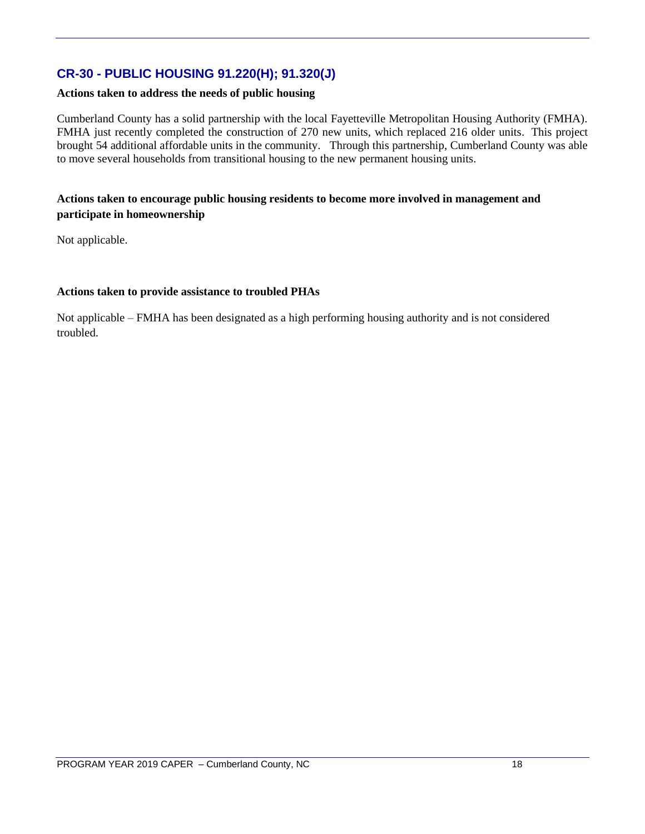## **CR-30 - PUBLIC HOUSING 91.220(H); 91.320(J)**

#### **Actions taken to address the needs of public housing**

Cumberland County has a solid partnership with the local Fayetteville Metropolitan Housing Authority (FMHA). FMHA just recently completed the construction of 270 new units, which replaced 216 older units. This project brought 54 additional affordable units in the community. Through this partnership, Cumberland County was able to move several households from transitional housing to the new permanent housing units.

#### **Actions taken to encourage public housing residents to become more involved in management and participate in homeownership**

Not applicable.

#### **Actions taken to provide assistance to troubled PHAs**

Not applicable – FMHA has been designated as a high performing housing authority and is not considered troubled.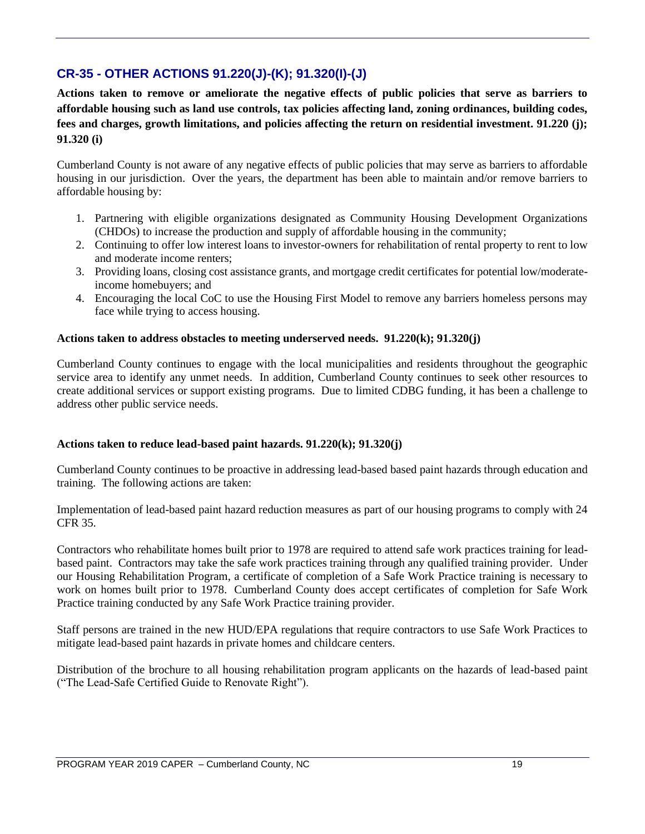## **CR-35 - OTHER ACTIONS 91.220(J)-(K); 91.320(I)-(J)**

**Actions taken to remove or ameliorate the negative effects of public policies that serve as barriers to affordable housing such as land use controls, tax policies affecting land, zoning ordinances, building codes, fees and charges, growth limitations, and policies affecting the return on residential investment. 91.220 (j); 91.320 (i)**

Cumberland County is not aware of any negative effects of public policies that may serve as barriers to affordable housing in our jurisdiction. Over the years, the department has been able to maintain and/or remove barriers to affordable housing by:

- 1. Partnering with eligible organizations designated as Community Housing Development Organizations (CHDOs) to increase the production and supply of affordable housing in the community;
- 2. Continuing to offer low interest loans to investor-owners for rehabilitation of rental property to rent to low and moderate income renters;
- 3. Providing loans, closing cost assistance grants, and mortgage credit certificates for potential low/moderateincome homebuyers; and
- 4. Encouraging the local CoC to use the Housing First Model to remove any barriers homeless persons may face while trying to access housing.

#### **Actions taken to address obstacles to meeting underserved needs. 91.220(k); 91.320(j)**

Cumberland County continues to engage with the local municipalities and residents throughout the geographic service area to identify any unmet needs. In addition, Cumberland County continues to seek other resources to create additional services or support existing programs. Due to limited CDBG funding, it has been a challenge to address other public service needs.

#### **Actions taken to reduce lead-based paint hazards. 91.220(k); 91.320(j)**

Cumberland County continues to be proactive in addressing lead-based based paint hazards through education and training. The following actions are taken:

Implementation of lead-based paint hazard reduction measures as part of our housing programs to comply with 24 CFR 35.

Contractors who rehabilitate homes built prior to 1978 are required to attend safe work practices training for leadbased paint. Contractors may take the safe work practices training through any qualified training provider. Under our Housing Rehabilitation Program, a certificate of completion of a Safe Work Practice training is necessary to work on homes built prior to 1978. Cumberland County does accept certificates of completion for Safe Work Practice training conducted by any Safe Work Practice training provider.

Staff persons are trained in the new HUD/EPA regulations that require contractors to use Safe Work Practices to mitigate lead-based paint hazards in private homes and childcare centers.

Distribution of the brochure to all housing rehabilitation program applicants on the hazards of lead-based paint ("The Lead-Safe Certified Guide to Renovate Right").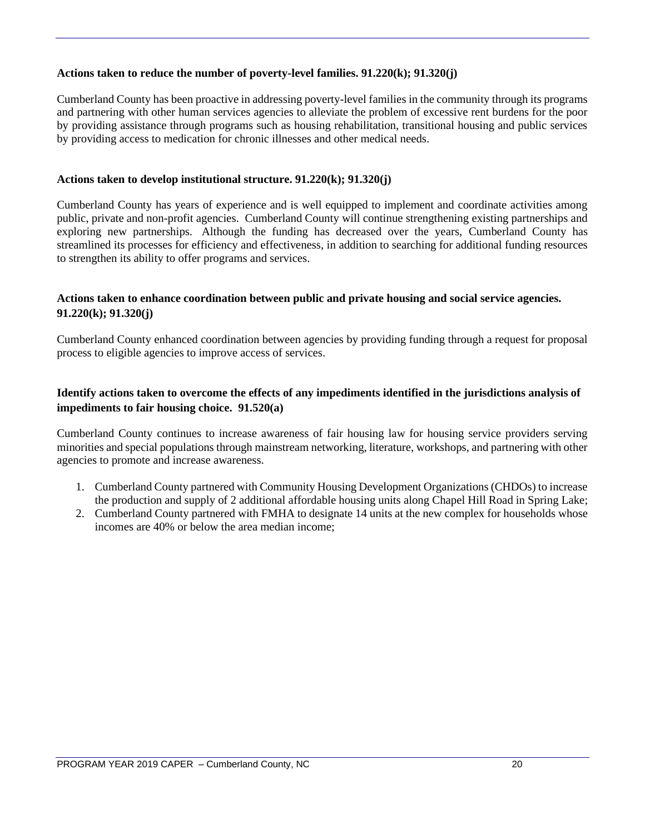#### **Actions taken to reduce the number of poverty-level families. 91.220(k); 91.320(j)**

Cumberland County has been proactive in addressing poverty-level families in the community through its programs and partnering with other human services agencies to alleviate the problem of excessive rent burdens for the poor by providing assistance through programs such as housing rehabilitation, transitional housing and public services by providing access to medication for chronic illnesses and other medical needs.

#### **Actions taken to develop institutional structure. 91.220(k); 91.320(j)**

Cumberland County has years of experience and is well equipped to implement and coordinate activities among public, private and non-profit agencies. Cumberland County will continue strengthening existing partnerships and exploring new partnerships. Although the funding has decreased over the years, Cumberland County has streamlined its processes for efficiency and effectiveness, in addition to searching for additional funding resources to strengthen its ability to offer programs and services.

#### **Actions taken to enhance coordination between public and private housing and social service agencies. 91.220(k); 91.320(j)**

Cumberland County enhanced coordination between agencies by providing funding through a request for proposal process to eligible agencies to improve access of services.

#### **Identify actions taken to overcome the effects of any impediments identified in the jurisdictions analysis of impediments to fair housing choice. 91.520(a)**

Cumberland County continues to increase awareness of fair housing law for housing service providers serving minorities and special populations through mainstream networking, literature, workshops, and partnering with other agencies to promote and increase awareness.

- 1. Cumberland County partnered with Community Housing Development Organizations (CHDOs) to increase the production and supply of 2 additional affordable housing units along Chapel Hill Road in Spring Lake;
- 2. Cumberland County partnered with FMHA to designate 14 units at the new complex for households whose incomes are 40% or below the area median income;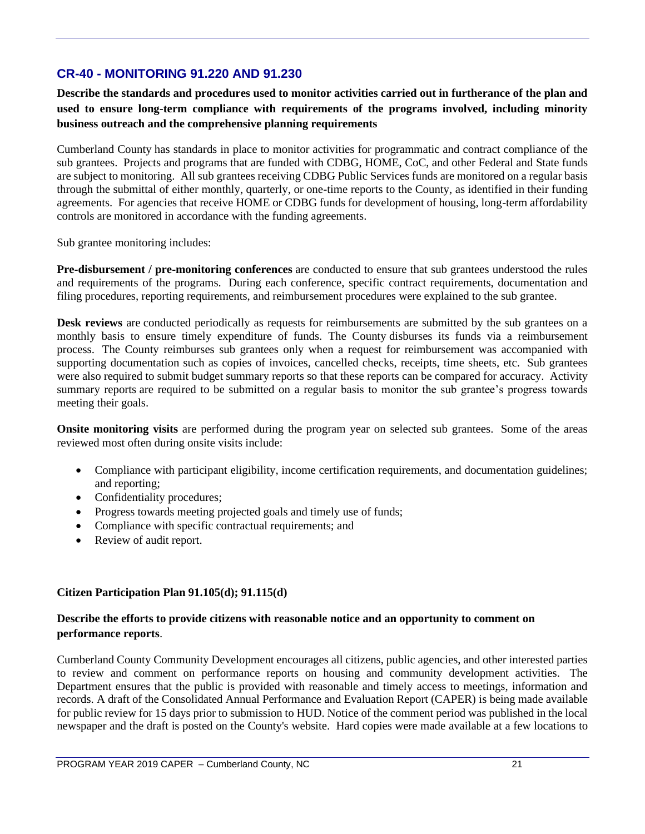## **CR-40 - MONITORING 91.220 AND 91.230**

**Describe the standards and procedures used to monitor activities carried out in furtherance of the plan and used to ensure long-term compliance with requirements of the programs involved, including minority business outreach and the comprehensive planning requirements**

Cumberland County has standards in place to monitor activities for programmatic and contract compliance of the sub grantees. Projects and programs that are funded with CDBG, HOME, CoC, and other Federal and State funds are subject to monitoring. All sub grantees receiving CDBG Public Services funds are monitored on a regular basis through the submittal of either monthly, quarterly, or one-time reports to the County, as identified in their funding agreements. For agencies that receive HOME or CDBG funds for development of housing, long-term affordability controls are monitored in accordance with the funding agreements.

Sub grantee monitoring includes:

**Pre-disbursement / pre-monitoring conferences** are conducted to ensure that sub grantees understood the rules and requirements of the programs. During each conference, specific contract requirements, documentation and filing procedures, reporting requirements, and reimbursement procedures were explained to the sub grantee.

**Desk reviews** are conducted periodically as requests for reimbursements are submitted by the sub grantees on a monthly basis to ensure timely expenditure of funds. The County disburses its funds via a reimbursement process. The County reimburses sub grantees only when a request for reimbursement was accompanied with supporting documentation such as copies of invoices, cancelled checks, receipts, time sheets, etc. Sub grantees were also required to submit budget summary reports so that these reports can be compared for accuracy. Activity summary reports are required to be submitted on a regular basis to monitor the sub grantee's progress towards meeting their goals.

**Onsite monitoring visits** are performed during the program year on selected sub grantees. Some of the areas reviewed most often during onsite visits include:

- Compliance with participant eligibility, income certification requirements, and documentation guidelines; and reporting;
- Confidentiality procedures;
- Progress towards meeting projected goals and timely use of funds;
- Compliance with specific contractual requirements; and
- Review of audit report.

#### **Citizen Participation Plan 91.105(d); 91.115(d)**

#### **Describe the efforts to provide citizens with reasonable notice and an opportunity to comment on performance reports**.

Cumberland County Community Development encourages all citizens, public agencies, and other interested parties to review and comment on performance reports on housing and community development activities. The Department ensures that the public is provided with reasonable and timely access to meetings, information and records. A draft of the Consolidated Annual Performance and Evaluation Report (CAPER) is being made available for public review for 15 days prior to submission to HUD. Notice of the comment period was published in the local newspaper and the draft is posted on the County's website. Hard copies were made available at a few locations to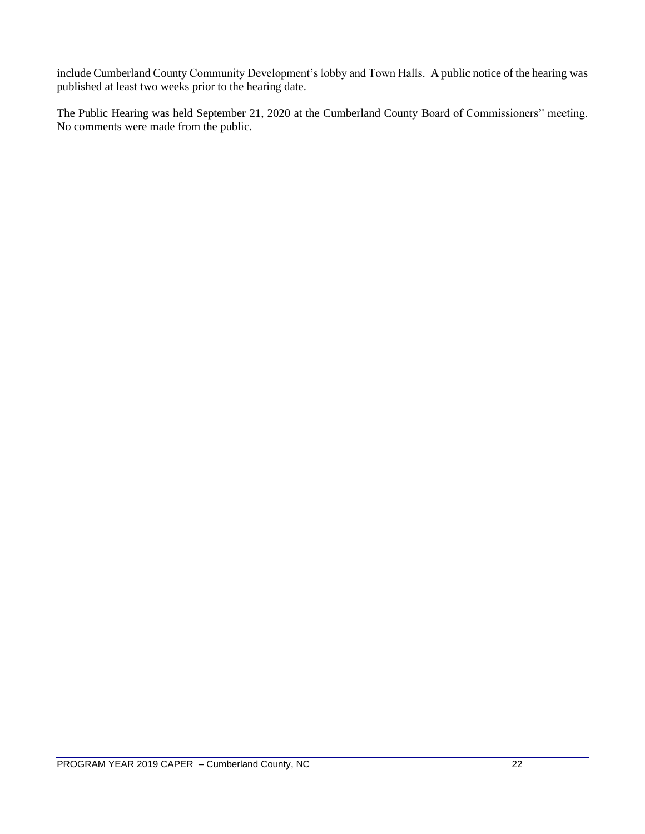include Cumberland County Community Development's lobby and Town Halls. A public notice of the hearing was published at least two weeks prior to the hearing date.

The Public Hearing was held September 21, 2020 at the Cumberland County Board of Commissioners'' meeting. No comments were made from the public.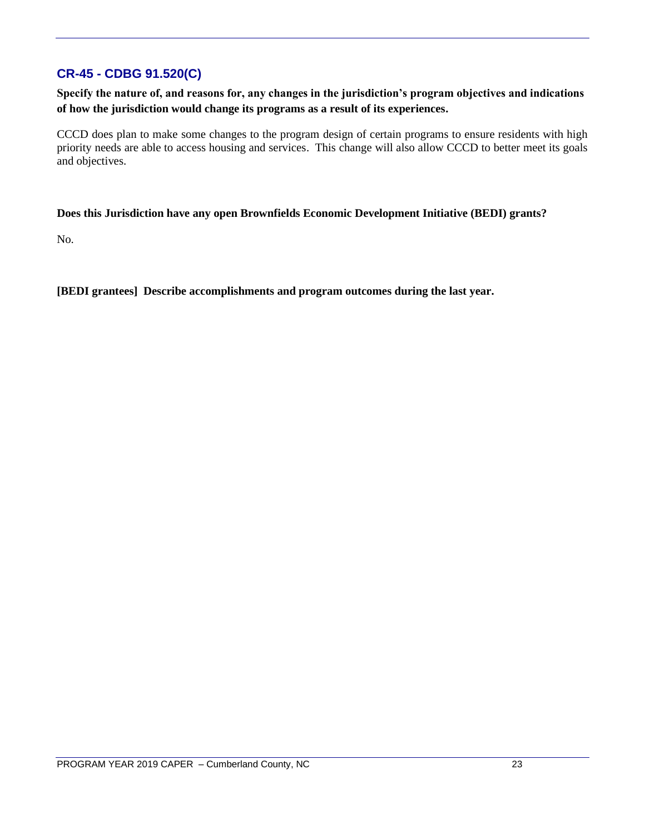## **CR-45 - CDBG 91.520(C)**

**Specify the nature of, and reasons for, any changes in the jurisdiction's program objectives and indications of how the jurisdiction would change its programs as a result of its experiences.**

CCCD does plan to make some changes to the program design of certain programs to ensure residents with high priority needs are able to access housing and services. This change will also allow CCCD to better meet its goals and objectives.

#### **Does this Jurisdiction have any open Brownfields Economic Development Initiative (BEDI) grants?**

No.

**[BEDI grantees] Describe accomplishments and program outcomes during the last year.**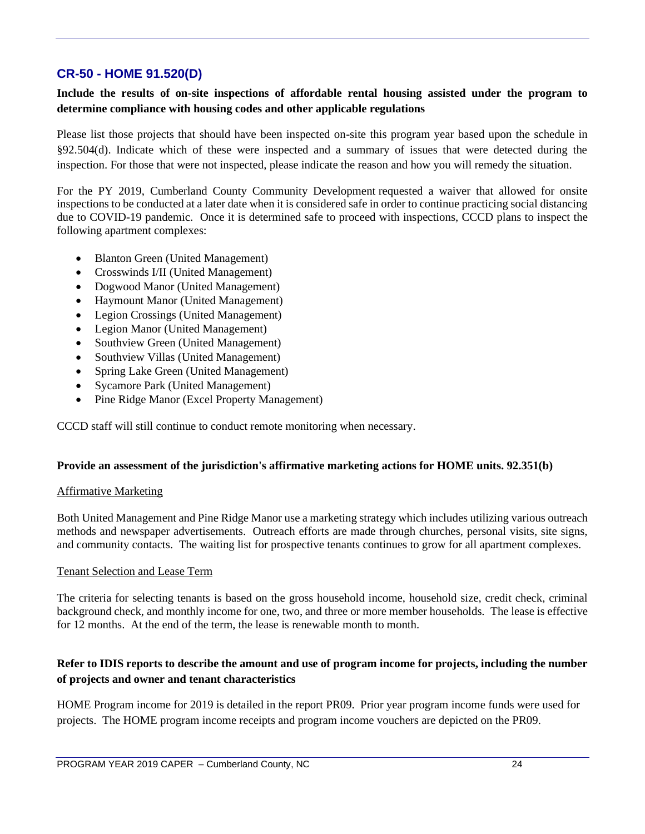## **CR-50 - HOME 91.520(D)**

#### **Include the results of on-site inspections of affordable rental housing assisted under the program to determine compliance with housing codes and other applicable regulations**

Please list those projects that should have been inspected on-site this program year based upon the schedule in §92.504(d). Indicate which of these were inspected and a summary of issues that were detected during the inspection. For those that were not inspected, please indicate the reason and how you will remedy the situation.

For the PY 2019, Cumberland County Community Development requested a waiver that allowed for onsite inspections to be conducted at a later date when it is considered safe in order to continue practicing social distancing due to COVID-19 pandemic. Once it is determined safe to proceed with inspections, CCCD plans to inspect the following apartment complexes:

- Blanton Green (United Management)
- Crosswinds I/II (United Management)
- Dogwood Manor (United Management)
- Haymount Manor (United Management)
- Legion Crossings (United Management)
- Legion Manor (United Management)
- Southview Green (United Management)
- Southview Villas (United Management)
- Spring Lake Green (United Management)
- Sycamore Park (United Management)
- Pine Ridge Manor (Excel Property Management)

CCCD staff will still continue to conduct remote monitoring when necessary.

#### **Provide an assessment of the jurisdiction's affirmative marketing actions for HOME units. 92.351(b)**

#### Affirmative Marketing

Both United Management and Pine Ridge Manor use a marketing strategy which includes utilizing various outreach methods and newspaper advertisements. Outreach efforts are made through churches, personal visits, site signs, and community contacts. The waiting list for prospective tenants continues to grow for all apartment complexes.

#### Tenant Selection and Lease Term

The criteria for selecting tenants is based on the gross household income, household size, credit check, criminal background check, and monthly income for one, two, and three or more member households. The lease is effective for 12 months. At the end of the term, the lease is renewable month to month.

#### **Refer to IDIS reports to describe the amount and use of program income for projects, including the number of projects and owner and tenant characteristics**

HOME Program income for 2019 is detailed in the report PR09. Prior year program income funds were used for projects. The HOME program income receipts and program income vouchers are depicted on the PR09.